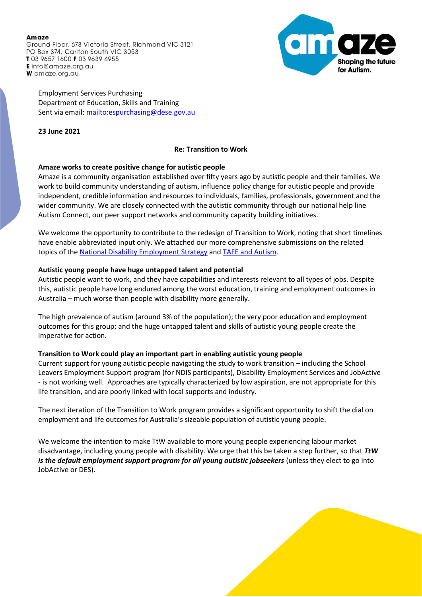#### Amaze Ground Floor, 678 Victoria Street, Richmond VIC 3121 PO Box 374, Carlton South VIC 3053 T03 9657 1600 F03 9639 4955 Einfo@amaze.org.au W amaze.org.au



Employment Services Purchasing Department of Education, Skills and Training Sent via email[: mailto:espurchasing@dese.gov.au](mailto:espurchasing@dese.gov.au)

**23 June 2021**

# **Re: Transition to Work**

### **Amaze works to create positive change for autistic people**

Amaze is a community organisation established over fifty years ago by autistic people and their families. We work to build community understanding of autism, influence policy change for autistic people and provide independent, credible information and resources to individuals, families, professionals, government and the wider community. We are closely connected with the autistic community through our national help line Autism Connect, our peer support networks and community capacity building initiatives.

We welcome the opportunity to contribute to the redesign of Transition to Work, noting that short timelines have enable abbreviated input only. We attached our more comprehensive submissions on the related topics of the [National Disability Employment Strategy](https://www.amaze.org.au/wp-content/uploads/2021/05/Amaze-submission-to-NDES-May-2021.pdf) an[d TAFE and Autism.](https://www.amaze.org.au/wp-content/uploads/2020/12/Amaze-submission-TAFE-and-Autism-Nov-2020.pdf)

### **Autistic young people have huge untapped talent and potential**

Autistic people want to work, and they have capabilities and interests relevant to all types of jobs. Despite this, autistic people have long endured among the worst education, training and employment outcomes in Australia – much worse than people with disability more generally.

The high prevalence of autism (around 3% of the population); the very poor education and employment outcomes for this group; and the huge untapped talent and skills of autistic young people create the imperative for action.

## **Transition to Work could play an important part in enabling autistic young people**

Current support for young autistic people navigating the study to work transition – including the School Leavers Employment Support program (for NDIS participants), Disability Employment Services and JobActive - is not working well. Approaches are typically characterized by low aspiration, are not appropriate for this life transition, and are poorly linked with local supports and industry.

The next iteration of the Transition to Work program provides a significant opportunity to shift the dial on employment and life outcomes for Australia's sizeable population of autistic young people.

We welcome the intention to make TtW available to more young people experiencing labour market disadvantage, including young people with disability. We urge that this be taken a step further, so that *TtW is the default employment support program for all young autistic jobseekers* (unless they elect to go into JobActive or DES).